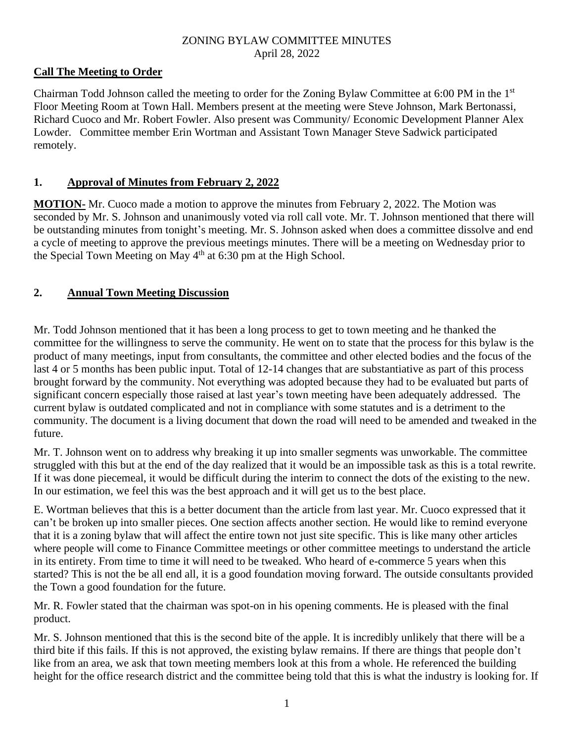### ZONING BYLAW COMMITTEE MINUTES April 28, 2022

## **Call The Meeting to Order**

Chairman Todd Johnson called the meeting to order for the Zoning Bylaw Committee at 6:00 PM in the 1st Floor Meeting Room at Town Hall. Members present at the meeting were Steve Johnson, Mark Bertonassi, Richard Cuoco and Mr. Robert Fowler. Also present was Community/ Economic Development Planner Alex Lowder. Committee member Erin Wortman and Assistant Town Manager Steve Sadwick participated remotely.

### **1. Approval of Minutes from February 2, 2022**

**MOTION-** Mr. Cuoco made a motion to approve the minutes from February 2, 2022. The Motion was seconded by Mr. S. Johnson and unanimously voted via roll call vote. Mr. T. Johnson mentioned that there will be outstanding minutes from tonight's meeting. Mr. S. Johnson asked when does a committee dissolve and end a cycle of meeting to approve the previous meetings minutes. There will be a meeting on Wednesday prior to the Special Town Meeting on May  $4<sup>th</sup>$  at 6:30 pm at the High School.

## **2. Annual Town Meeting Discussion**

Mr. Todd Johnson mentioned that it has been a long process to get to town meeting and he thanked the committee for the willingness to serve the community. He went on to state that the process for this bylaw is the product of many meetings, input from consultants, the committee and other elected bodies and the focus of the last 4 or 5 months has been public input. Total of 12-14 changes that are substantiative as part of this process brought forward by the community. Not everything was adopted because they had to be evaluated but parts of significant concern especially those raised at last year's town meeting have been adequately addressed. The current bylaw is outdated complicated and not in compliance with some statutes and is a detriment to the community. The document is a living document that down the road will need to be amended and tweaked in the future.

Mr. T. Johnson went on to address why breaking it up into smaller segments was unworkable. The committee struggled with this but at the end of the day realized that it would be an impossible task as this is a total rewrite. If it was done piecemeal, it would be difficult during the interim to connect the dots of the existing to the new. In our estimation, we feel this was the best approach and it will get us to the best place.

E. Wortman believes that this is a better document than the article from last year. Mr. Cuoco expressed that it can't be broken up into smaller pieces. One section affects another section. He would like to remind everyone that it is a zoning bylaw that will affect the entire town not just site specific. This is like many other articles where people will come to Finance Committee meetings or other committee meetings to understand the article in its entirety. From time to time it will need to be tweaked. Who heard of e-commerce 5 years when this started? This is not the be all end all, it is a good foundation moving forward. The outside consultants provided the Town a good foundation for the future.

Mr. R. Fowler stated that the chairman was spot-on in his opening comments. He is pleased with the final product.

Mr. S. Johnson mentioned that this is the second bite of the apple. It is incredibly unlikely that there will be a third bite if this fails. If this is not approved, the existing bylaw remains. If there are things that people don't like from an area, we ask that town meeting members look at this from a whole. He referenced the building height for the office research district and the committee being told that this is what the industry is looking for. If